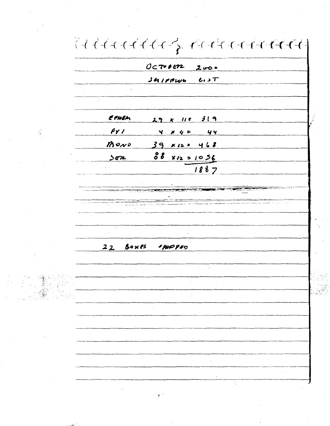$\left\{ \begin{array}{c} \left( \begin{array}{c} 1 \end{array} \right) \left( \begin{array}{c} \begin{array}{c} 1 \end{array} \right) \left( \begin{array}{c} \begin{array}{c} 1 \end{array} \right) \left( \begin{array}{c} \begin{array}{c} 1 \end{array} \right) \left( \begin{array}{c} \begin{array}{c} 1 \end{array} \right) \left( \begin{array}{c} \begin{array}{c} 1 \end{array} \right) \left( \begin{array}{c} \begin{array}{c} 1 \end{array} \right) \left( \begin{array}{c} \begin{array}{c} 1 \end{array} \right)$  $0$ c $\n 1$  $34119146$   $0.37$ **EPHEM**  $29 \times 115$  319  $f\gamma$ Ñ.  $4 \times 4$  =  $44$  $M$ ond  $39 x 12 - 468$ 88 812 = 1056  $362$  $1887$ 22 Boxes spopen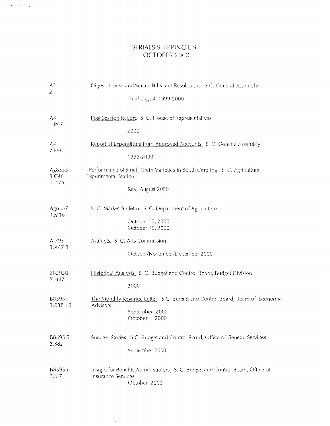# SERIALS SHIPPING LIST OCTOBER 2000

 $\tilde{\Phi}^{\pm}$  ,  $\tilde{\Phi}^{\pm}$  ,  $\tilde{\Phi}^{\pm}$ 

| A3<br>2.                  | Digest, House and Senate Bills and Resolutions. S.C. General Assembly                                                       |
|---------------------------|-----------------------------------------------------------------------------------------------------------------------------|
|                           | Final Digest 1999-2000                                                                                                      |
| A4<br>1.P57               | Post Session Report. S. C. House of Representatives                                                                         |
|                           | 2000                                                                                                                        |
| A4<br>7.E96               | Report of Expenditure from Approved Accounts, S. C. General Assembly                                                        |
|                           | 1999-2000                                                                                                                   |
| Ag8333<br>3.C46<br>n. 175 | Performance of Small Grain Varieties in South Carolina. S. C. Agricultural<br><b>Experimental Station</b>                   |
|                           | Rev. August 2000                                                                                                            |
| Ag8357<br>3.M16           | S. C. Market Bulletin. S. C. Department of Agriculture                                                                      |
|                           | October 10, 2000<br>October 19, 2000                                                                                        |
| Ar795<br>$3. A67 - 3$     | Artifacts. S. C. Arts Commission                                                                                            |
|                           | October/November/December 2000                                                                                              |
| B8595B<br>7.H47           | Historical Analysis, S. C. Budget and Control Board, Budget Division                                                        |
|                           | 2000                                                                                                                        |
| <b>B8595E</b><br>3.R38-10 | The Monthly Revenue Letter. S.C. Budget and Control Board, Board of Economic<br>Advisors                                    |
|                           | September 2000<br>October<br>2000                                                                                           |
| B8595G<br>3.582           | Success Stories, S.C. Budget and Control Board, Office of General Services                                                  |
|                           | September 2000                                                                                                              |
| B8595In<br>3.157          | Insight for Benefits Administrators, S. C. Budget and Control Board, Office of<br><b>Insurance Services</b><br>October 2000 |

 $\overline{\phantom{a}}$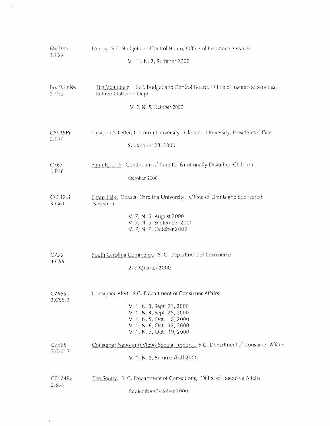| 88595In               | Trends. S.C. Budget and Control Board, Office of Insurance Services                                                                                                                                   |
|-----------------------|-------------------------------------------------------------------------------------------------------------------------------------------------------------------------------------------------------|
| 3.T63                 | V. 11, N. 2, Summer 2000                                                                                                                                                                              |
| 88595InRe             | The Volunteer. S.C. Budget and Control Board, Office of Insurance Services,                                                                                                                           |
| 3.V55                 | Refiree Outreach Dept.                                                                                                                                                                                |
|                       | V. 2, N. 5, October 2000                                                                                                                                                                              |
| C5935Pr               | President's Letter, Clemson University. Clemson University, Presidents Office                                                                                                                         |
| 3.L3 <i>7</i>         | September 28, 2000                                                                                                                                                                                    |
| C767                  | Parents' Link. Continuum of Care for Emotionally Disturbed Children                                                                                                                                   |
| 3.P16                 | October 2000                                                                                                                                                                                          |
| C6312G<br>3.G61       | <b>Grant Talk.</b> Coastal Carolina University. Office of Grants and Sponsored<br>Research<br>V. 7, N. 5, August 2000<br>V. 7, N. 6, September 2000<br>V. 7, N. 7, October 2000                       |
| C736                  | South Carolina Commerce. S. C. Department of Commerce                                                                                                                                                 |
| 3.C <sub>55</sub>     | 2nd Quarter 2000                                                                                                                                                                                      |
| C7665<br>$3. C55 - 2$ | Consumer Alert. S.C. Department of Consumer Affairs<br>V. 1, N. 3, Sept. 21, 2000<br>V. 1, N. 4, Sept. 28, 2000<br>V. 1, N. 5, Oct. 5, 2000<br>V. 1, N. 6, Oct. 12, 2000<br>V. 1, N. 7, Oct. 19, 2000 |
| C7665                 | Consumer News and Views Special Report S.C. Department of Consumer Affairs                                                                                                                            |
| 3. C55.3              | V. 1, N. 2, Summer/Fall 2000                                                                                                                                                                          |
| C8174Ex               | The Sentry, S. C. Department of Corrections, Office of Executive Affairs                                                                                                                              |
| 3.535                 | September/October 2000                                                                                                                                                                                |

 $\label{eq:3.1} \mathbf{r} = \frac{1}{\sqrt{2\pi}}\left(\frac{1}{\sqrt{2\pi}}\right)^{1/2}$ 

 $\sim$  4  $^{\circ}$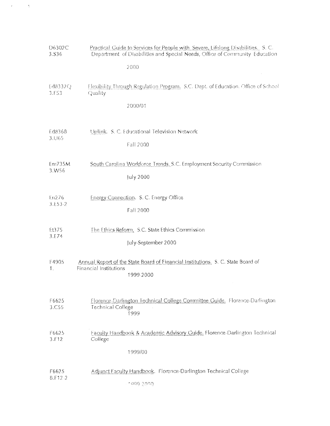| D6302C<br>3.536              | Practical Guide to Services for People with Severe, Lifelong Disabilities. S. C.<br>Department of Disabilities and Special Needs, Office of Community Education |
|------------------------------|-----------------------------------------------------------------------------------------------------------------------------------------------------------------|
|                              | 2000                                                                                                                                                            |
| Ed8332Q<br>3.F53             | Flexibility Through Regulation Program. S.C. Dept. of Education. Office of School<br>Quality                                                                    |
|                              | 2000/01                                                                                                                                                         |
| Ed8368<br>3.U65              | Uplink. S. C. Educational Television Network                                                                                                                    |
|                              | Fall 2000                                                                                                                                                       |
| En1735M<br>3.W <sub>56</sub> | South Carolina Workforce Trends, S.C. Employment Security Commission                                                                                            |
|                              | July 2000                                                                                                                                                       |
| En276<br>3.E53-2             | Energy Connection. S. C. Energy Office                                                                                                                          |
|                              | Fall 2000                                                                                                                                                       |
| Et375<br>3.E74               | The Ethics Reform, S.C. State Ethics Commission                                                                                                                 |
|                              | July-September 2000                                                                                                                                             |
| F4905<br>1.                  | Annual Report of the State Board of Financial Institutions. S. C. State Board of<br><b>Financial Institutions</b>                                               |
|                              | 1999-2000                                                                                                                                                       |
| F6625<br>3.C55               | Florence-Darlington Technical College Committee Guide. Florence-Darlington<br><b>Technical College</b>                                                          |
|                              | 1999                                                                                                                                                            |
| F6625<br>3 F12               | Faculty Handbook & Academic Advisory Guide, Florence-Darlington Technical<br>College                                                                            |
|                              | 1999/00                                                                                                                                                         |
| F6625<br>8.F12-2             | Adjunct Faculty Handbook. Florence-Darlington Technical College                                                                                                 |
|                              | 1999-2000                                                                                                                                                       |

 $\label{eq:3.1} \mathcal{F}(\mathcal{F}) = \frac{1}{2} \sum_{i=1}^{n} \frac{1}{2} \sum_{j=1}^{n} \frac{1}{2} \sum_{j=1}^{n} \frac{1}{2} \sum_{j=1}^{n} \frac{1}{2} \sum_{j=1}^{n} \frac{1}{2} \sum_{j=1}^{n} \frac{1}{2} \sum_{j=1}^{n} \frac{1}{2} \sum_{j=1}^{n} \frac{1}{2} \sum_{j=1}^{n} \frac{1}{2} \sum_{j=1}^{n} \frac{1}{2} \sum_{j=1}^{n} \frac{1}{2} \sum_{j$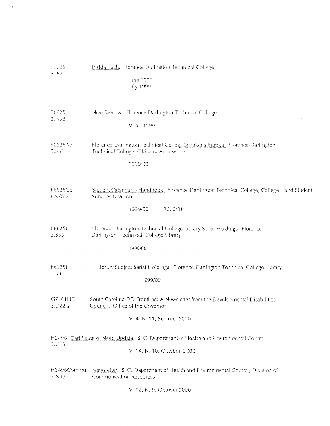| F6625<br>3.157         | Inside Tech. Florence-Darlington Technical College<br>June 1999<br>July 1999                                                                 |
|------------------------|----------------------------------------------------------------------------------------------------------------------------------------------|
| F6625<br>3.N38         | New Review. Florence-Darlington Technical College<br>V. 5, 1999                                                                              |
| F6625Ad<br>3.563       | Florence-Darlington Technical College Speaker's Bureau. Florence-Darlington<br>Technical College. Office of Admissions.<br>1999/00           |
| F6625Col<br>8.578-2    | Student Calendar - Handbook. Florence-Darlington Technical College, College<br>and Student<br>Services Division<br>2000/01<br>1999/00        |
| F6625L<br>3.536        | Florence-Darlington Technical College Library Serial Holdings. Florence-<br>Darlington Technical College Library<br>1999/00                  |
| F6625L<br>3.581        | Library Subject Serial Holdings. Florence-Darlington Technical College Library<br>1999/00                                                    |
| G7461HD<br>$3.022 - 2$ | South Carolina DD Frontline: A Newsletter from the Developmental Disabilities<br>Council. Office of the Governor<br>V. 4, N. 11, Summer 2000 |
| 3.C <sub>36</sub>      | H3496 Certificate of Need Update. S. C. Department of Health and Environmental Control<br>V. 14, N. 10, October, 2000                        |
| H3496Commu<br>3.N38    | Newsletter. S. C. Department of Health and Environmental Control, Division of<br>Communication Resources<br>V. 12, N. 9, October 2000        |

 $\sigma_{\rm{eff}}=2.5$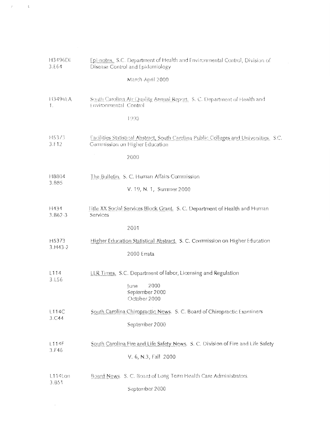| H3496Di<br>3.E64      | Epi-notes. S.C. Department of Health and Environmental Control, Division of<br>Disease Control and Epidemiology          |
|-----------------------|--------------------------------------------------------------------------------------------------------------------------|
|                       | March-April 2000                                                                                                         |
| 113496EA<br>1.        | South Carolina Air Quality Annual Report. S. C. Department of Health and<br>Environmental Control                        |
|                       | 1998                                                                                                                     |
| H5373<br>3.F12        | Facilities Statistical Abstract, South Carolina Public Colleges and Universities. S.C.<br>Commission on Higher Education |
|                       | $\sim$<br>2000                                                                                                           |
| H8804<br>3.885        | The Bulletin. S. C. Human Affairs Commission                                                                             |
|                       | V. 19, N. 1, Summer 2000                                                                                                 |
| H434<br>$3.862 - 3$   | Title XX Social Services Block Grant. S. C. Department of Health and Human<br>Services                                   |
|                       | 2001                                                                                                                     |
| H5373<br>$3. H43 - 2$ | Higher Education Statistical Abstract. S. C. Commission on Higher Education                                              |
|                       | 2000 Errata                                                                                                              |
| L114<br>3.156         | LLR Times. S.C. Department of labor, Licensing and Regulation                                                            |
|                       | June<br>2000<br>September 2000<br>October 2000                                                                           |
| L114C<br>3.C44        | South Carolina Chiropractic News. S. C. Board of Chiropractic Examiners                                                  |
|                       | September 2000                                                                                                           |
| L114F<br>3.F46        | South Carolina Fire and Life Safety News. S. C. Division of Fire and Life Safety                                         |
|                       | V. 6, N.3, Fall 2000                                                                                                     |
| L114Lon<br>3.851      | Board News. S. C. Board of Long Term Health Care Administrators.                                                         |
|                       | September 2000                                                                                                           |
|                       |                                                                                                                          |

 $\tau^{\rm (1)} = \pm \sqrt{3}$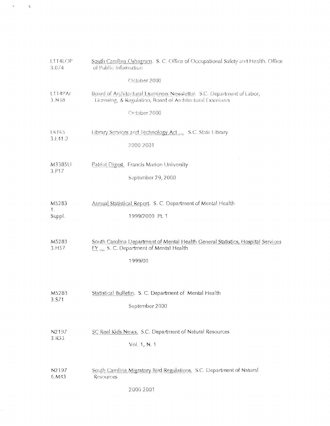| L114LOP<br>3.074      | South Carolina Oshagram. S. C. Office of Occupational Safety and Health. Office<br>of Public Information                            |
|-----------------------|-------------------------------------------------------------------------------------------------------------------------------------|
|                       | October 2000                                                                                                                        |
| L114PAr<br>3.N38      | Board of Architectural Examiners Newsletter. S.C. Department of Labor,<br>Licensing, & Regulation, Board of Architectural Examiners |
|                       | October 2000                                                                                                                        |
| L6165<br>$3.1.41 - 2$ | Library Services and Technology Act S.C. State Library                                                                              |
|                       | 2000-2001                                                                                                                           |
| M3385U<br>3.P17       | Patriot Digest. Francis Marion University                                                                                           |
|                       | September 29, 2000                                                                                                                  |
| M5283                 | Annual Statistical Report. S. C. Department of Mental Health                                                                        |
| 1.<br>Suppl.          | 1999/2000 Pt. 1                                                                                                                     |
| M5283<br>3.H57        | South Carolina Department of Mental Health General Statistics, Hospital Services<br>FY  S. C. Department of Mental Health           |
|                       | 1999/00                                                                                                                             |
|                       |                                                                                                                                     |
| M5283<br>3.S71        | Statistical Bulletin. S. C. Department of Mental Health                                                                             |
|                       | September 2000                                                                                                                      |
| N2197<br>3.R33        | SC Reel Kids News. S.C. Department of Natural Resources                                                                             |
|                       | Vol. 1, N. 1                                                                                                                        |
| N <sub>2</sub> 197    | South Carolina Migratory Bird Regulations. S.C. Department of Natural                                                               |
| 6.M43                 | Resources<br>2000-2001                                                                                                              |
|                       |                                                                                                                                     |

 $\mathcal{A}^{\text{max}}_{\text{max}}$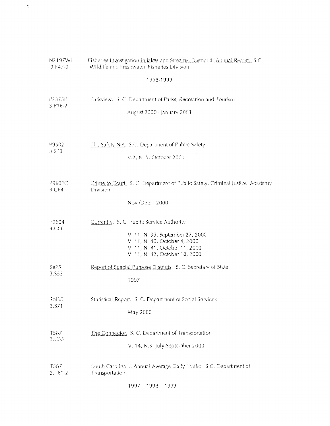| N2197Wi          | Fisheries Investigation in lakes and Streams, District III Annual Report. S.C.                                                                                                     |
|------------------|------------------------------------------------------------------------------------------------------------------------------------------------------------------------------------|
| 3. F47.3         | Wildlife and Freshwater Fisheries Division                                                                                                                                         |
|                  | 1998-1999                                                                                                                                                                          |
| P2375P           | Parkview. S. C. Department of Parks, Recreation and Tourism                                                                                                                        |
| 3.P16-2          | August 2000- January 2001                                                                                                                                                          |
| P9602            | The Safety Net. S.C. Department of Public Safety                                                                                                                                   |
| 3.513            | V.2, N. 5, October 2000                                                                                                                                                            |
| P9602C<br>3.C64  | Crime to Court. S. C. Department of Public Safety, Criminal Justice Academy<br>Division<br>Nov./Dec. 2000                                                                          |
| P9604<br>3.C86   | Currently. S. C. Public Service Authority<br>V. 11, N. 39, September 27, 2000<br>V. 11, N. 40, October 4, 2000<br>V. 11, N. 41, October 11, 2000<br>V. 11, N. 42, October 18, 2000 |
| Se25             | Report of Special Purpose Districts. S. C. Secretary of State                                                                                                                      |
| 3.S53            | 1997                                                                                                                                                                               |
| Sol35            | Statistical Report. S. C. Department of Social Services                                                                                                                            |
| 3.S71            | May 2000                                                                                                                                                                           |
| T587             | The Connector, S. C. Department of Transportation                                                                                                                                  |
| 3.C55            | V. 14, N.3, July-September 2000                                                                                                                                                    |
| T587<br>3. T61-2 | South Carolina  Annual Average Daily Traffic. S.C. Department of<br>Transportation<br>1999<br>1997<br>1998                                                                         |

 $\sigma \in \mathcal{S}^{\mathbb{Z}}$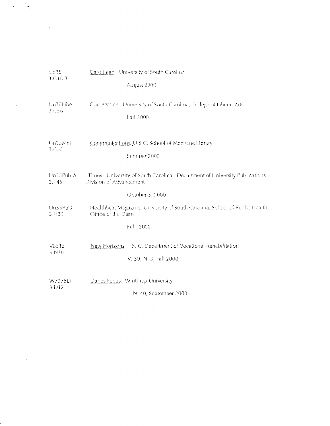| Un35<br>3.C16-3   | Carolinian. University of South Carolina                                    |
|-------------------|-----------------------------------------------------------------------------|
|                   | August 2000                                                                 |
| Un35Libe          | Comerstone. University of South Carolina, College of Liberal Arts           |
| 3. C56            | Fall 2000                                                                   |
| Un35Mel.          | Communications. U.S.C. School of Medicine Library                           |
| 3.C55             | Summer 2000                                                                 |
| Un35PublA         | Times. University of South Carolina. Department of University Publications  |
| 3.T45             | Division of Advancement                                                     |
|                   | October 5, 2000                                                             |
| Un35PuD           | Healthbeat Magazine. University of South Carolina, School of Public Health, |
| 3. H31            | Office of the Dean                                                          |
|                   | Fall 2000                                                                   |
| V8515             | New Horizons. S. C. Department of Vocational Rehabilitation                 |
| 3.N38             | V. 39, N. 3, Fall 2000                                                      |
| W7375Li           | Dacus Focus. Winthrop University                                            |
| 3.D <sub>12</sub> | N. 40, September 2000                                                       |

 $\frac{1}{2}$ 

 $\label{eq:2.1} \frac{1}{\sqrt{2}}\sum_{i=1}^n\frac{1}{\sqrt{2}}\sum_{i=1}^n\frac{1}{\sqrt{2}}\sum_{i=1}^n\frac{1}{\sqrt{2}}\sum_{i=1}^n\frac{1}{\sqrt{2}}\sum_{i=1}^n\frac{1}{\sqrt{2}}\sum_{i=1}^n\frac{1}{\sqrt{2}}\sum_{i=1}^n\frac{1}{\sqrt{2}}\sum_{i=1}^n\frac{1}{\sqrt{2}}\sum_{i=1}^n\frac{1}{\sqrt{2}}\sum_{i=1}^n\frac{1}{\sqrt{2}}\sum_{i=1}^n\frac$ 

 $\frac{1}{2}$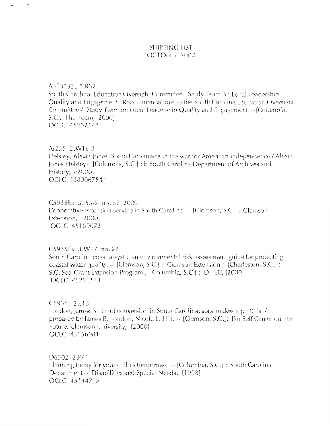## SHIPPING LIST OCTOBER 2000

A3Ed832L 8.R32

 $\epsilon$ 

South Carolina Education Oversight Committee. Study Team on Local Leadership Quality and Engagement. Recommendations to the South Carolina Education Oversight Committee / Study Team on Local Leadership Quality and Engagement. - [Columbia, S.C.: The Team, 2000] OCLC 45232148

Ar255 2.W16-3 Helsley, Alexia Jones. South Carolinians in the war for American independence / Alexia Jones Helsley-- [Columbia, S.C.] : b South Carolina Department of Archives and History, c2000. OCLC 1880067544

C5935Ex 3.153-2 no. 57 2000 Cooperative extension service in South Carolina. - [Clemson, S.C.] : Clemson Extension, [2000] OCLC 45169072

C5935Ex 3.W17 no.22 South Carolina coast-a-syst: an environmental risk-assessment guide for protecting coastal water quality. -- [Clemson, S.C.] : Clemson Extension ; [Charleston, S.C.] : S.C. Sea Grant Extension Program; [Columbia, S.C.]: DHEC, [2000] OCLC 45225513

C59351 2.L15 London, James B. Land conversion in South Carolina: state makes top 10 list / prepared by James B. London, Nicole L. Hill. -- [Clemson, S.C.]: Jim Self Center on the Future, Clemson University, [2000] OCLC 45156981

 $\mathcal{A}^{\pm}$ 

D6302 2.P41 Planning today for your child's tomorrows. -- [Columbia, S.C.] : South Carolina Department of Disabilities and Special Needs, [1998] OCLC 45144713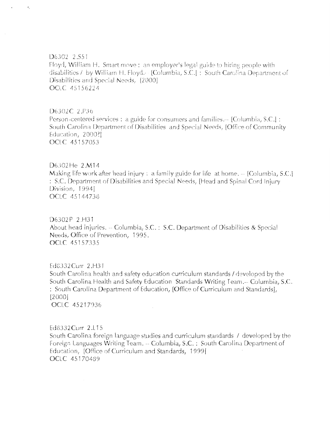#### D6302 2.S51

 $\bullet$ 

Floyd, William H. Smart move: an employer's legal guide to hiring people with disabilities / by William H. Floyd. - [Columbia, S.C.] : South Carolina Department of Disabilities and Special Needs, [2000]. OCLC 45156224

#### D6302C 2.P36

Person-centered services : a guide for consumers and families.-- [Columbia, S.C.] : South Carolina Department of Disabilities and Special Needs, [Office of Community Education, 2000? OCLC 45157053

#### D6302He 2.M14

Making life work after head injury: a family guide for life at home.  $-$  [Columbia, S.C.] : S.C. Department of Disabilities and Special Needs, [Head and Spinal Cord Injury Division, 1994] OCLC 45144738

## D6302P 2.H31

About head injuries. -- Columbia, S.C.: S.C. Department of Disabilities & Special Needs, Office of Prevention, 1995. OCLC 45157335

# Ed8332 Curr 2.H31

South Carolina health and safety education curriculum standards / developed by the South Carolina Health and Safety Education Standards Writing Team.-- Columbia, S.C. : South Carolina Department of Education, [Office of Curriculum and Standards],  $[2000]$ 

OCLC 45217936

Ed8332Curr 2.L15 South Carolina foreign language studies and curriculum standards / developed by the Foreign Languages Writing Team. -- Columbia, S.C. : South Carolina Department of Education, [Office of Curriculum and Standards, 1999] OCLC 45170489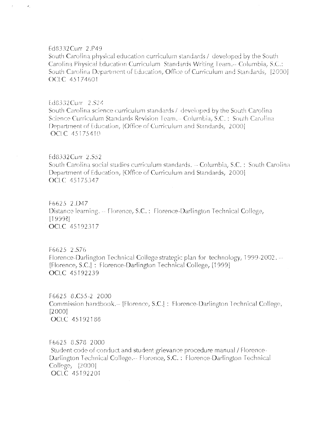## Ed8332Curr 2.P49

 $\epsilon_{\rm i}$ 

South Carolina physical education curriculum standards / developed by the South Carolina Physical Education Curriculum Standards Writing Team.-- Columbia, S.C.: South Carolina Department of Education, Office of Curriculum and Standards, [2000] OCLC 45174601

#### Ed8332Curr 2.S24

South Carolina science curriculum standards / developed by the South Carolina Science Curriculum Standards Revision Team. - Columbia, S.C.: South Carolina Department of Education, [Office of Curriculum and Standards, 2000]. OCLC 45175410

#### Ed8332Curr 2.S52

South Carolina social studies curriculum standards. - Columbia, S.C.: South Carolina Department of Education, [Office of Curriculum and Standards, 2000] **OCLC** 45175347

F6625 2.D47 Distance learning. -- Florence, S.C.: Florence-Darlington Technical College,  $[19993]$ OCLC 45192317

F6625 2.S76 Florence-Darlington Technical College strategic plan for technology, 1999-2002. --[Florence, S.C.]: Florence-Darlington Technical College, [1999] OCLC 45192239

F6625 8.C55-2 2000 Commission handbook.-- [Florence, S.C.] : Florence-Darlington Technical College,  $[2000]$ OCLC 45192188

F6625 8.S78 2000 Student code of conduct and student grievance procedure manual / Florence-Darlington Technical College.-- Florence, S.C.: Florence-Darlington Technical College, [2000] OCLC 45192201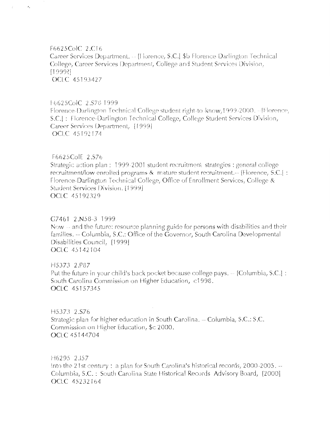F6625ColC 2.C16 Career Services Department. - [Horence, S.C.] \$b Florence-Darlington Technical College, Career Services Department, College and Student Services Division, [1999?] OCLC 45193427

#### F6625ColC 2.S78 1999

 $\epsilon_{\rm s}$ 

 $\mathcal{I}^{\mathbb{C}}$ 

Florence-Darlington Technical College student right-to-know, 1999-2000. -- [Florence, S.C.J : Florence-Darlington Technical College, College Student Services Division, Career Services Department, [1999] OCLC 45192174

### F6625ColE 2.S76

Strategic action plan : 1999-2001 student recruitment strategies : general college recruitment/low enrolled programs & mature student recruitment.-- [Florence, S.C.] : Florence-Darlington Technical College, Office of Enrollment Services, College & Student Services Division, [1999]. OCLC 45192329

#### G7461 2.N58-3 1999

Now – and the future: resource planning guide for persons with disabilities and their families. -- Columbia, S.C.: Office of the Governor, South Carolina Developmental Disabilities Council, [1999] OCLC 45142104

H5373 2.P87 Put the future in your child's back pocket because college pays. -- [Columbia, S.C.] : South Carolina Commission on Higher Education, c1998. **OCLC** 45157345

H5373 2.S76 Strategic plan for higher education in South Carolina. - Columbia, S.C.: S.C. Commission on Higher Education, \$c 2000. OCLC 45144704

H6295 2.157 Into the 21st century: a plan for South Carolina's historical records, 2000-2005. --Columbia, S.C.: South Carolina State Historical Records Advisory Board, [2000] OCLC 45232164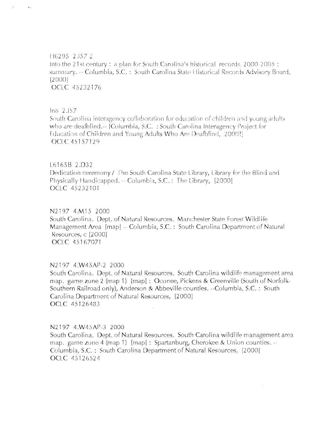146295 2.157-2 Into the 21st century: a plan for South Carolina's historical records. 2000-2005: summary. -- Columbia, S.C. : South Carolina State Historical Records Advisory Board,  $[2000]$ OCLC 45232176

In8 2.157

 $\mathcal{A}_\infty$ 

South Carolina interagency collaboration for education of children and young adults who are deafblind.-- [Columbia, S.C. : South Carolina Interagency Project for Education of Children and Young Adults Who Are Deafblind, 2000? OCLC 45157129

#### L6165B 2.D32

Dedication ceremony / The South Carolina State Library, Library for the Blind and Physically Handicapped. - Columbia, S.C.: The Library, [2000] OCLC 45232101

#### N2197 4.M15 2000

South Carolina. Dept. of Natural Resources. Manchester State Forest Wildlife Management Area [map] -- Columbia, S.C.: South Carolina Department of Natural Resources, c [2000] OCLC 45167071

#### N2197 4.W45AP-2 2000

South Carolina. Dept. of Natural Resources. South Carolina wildlife management area map. game zone 2 (map 1) [map]: Oconee, Pickens & Greenville (South of Norfolk-Southern Railroad only), Anderson & Abbeville counties. --Columbia, S.C.: South Carolina Department of Natural Resources, [2000] OCLC 45126483  $\mathcal{L}_{\mathcal{A}}$ 

#### N2197 4.W45AP-3 2000

South Carolina. Dept. of Natural Resources. South Carolina wildlife management area map. game zone 4 (map 1) [map] : Spartanburg, Cherokee & Union counties.  $-$ Columbia, S.C.: South Carolina Department of Natural Resources, [2000] OCLC 45126524

 $\sim$   $\sim$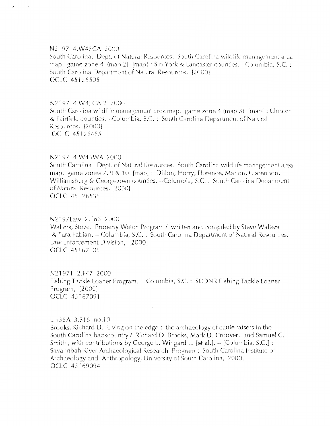#### N2197 4.W45CA 2000

 $\mathcal{E}$ 

 $\tau_{\rm d}$ 

South Carolina. Dept. of Natural Resources. South Carolina wildlife management area map. game zone 4 (map 2) [map] :  $$b$  York & Lancaster counties.-- Columbia, S.C. : South Carolina Department of Natural Resources, [2000]. **OCLC 45126505** 

#### N2197 4.W45CA-2 2000

South Carolina wildlife management area map. game zone 4 (map 3) [map] : Chester & Fairfield counties. - Columbia, S.C.: South Carolina Department of Natural Resources, [2000] OCLC 45126455

## N2197 4.W45WA 2000

South Carolina. Dept. of Natural Resources. South Carolina wildlife management area map. game zones 7, 9 & 10 [map]: Dillon, Horry, Florence, Marion, Clarendon, Williamsburg & Georgetown counties. --Columbia, S.C.: South Carolina Department of Natural Resources, [2000] OCLC 45126535

#### N2197Law 2.P65 2000

Walters, Steve. Property Watch Program / written and compiled by Steve Walters & Tara Fabian. -- Columbia, S.C. : South Carolina Department of Natural Resources, Law Enforcement Division, [2000] **OCLC 45167105** 

N2197T 2.F47 2000 Fishing Tackle Loaner Program. -- Columbia, S.C.: SCDNR Fishing Tackle Loaner Program, [2000] OCLC 45167091

#### Un35A 3.S18 no.10

Brooks, Richard D. Living on the edge: the archaeology of cattle raisers in the South Carolina backcountry / Richard D. Brooks, Mark D. Groover, and Samuel C. Smith ; with contributions by George L. Wingard ... [et al.].  $-$  [Columbia, S.C.] : Savannbah River Archaeological Research Program : South Carolina Institute of Archaeology and Anthropology, University of South Carolina, 2000. OCLC 45169094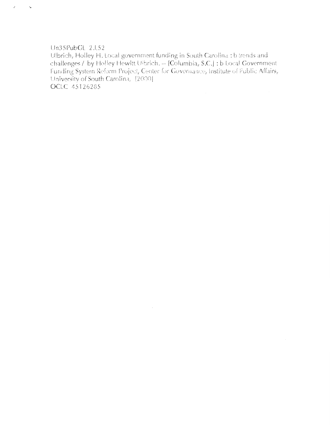#### Un35PubGL 2.152

 $\mathcal{E}^{\pm}$ 

 $\mathcal{L}_{\bullet}$ 

Ulbrich, Holley H. Local government funding in South Carolina : b trends and challenges / by Holley Hewitt Ulbrich. -- [Columbia, S.C.] : b Local Government Funding System Reform Project, Center for Governance, Institute of Public Affairs, University of South Carolina, [2000] OCLC 45126285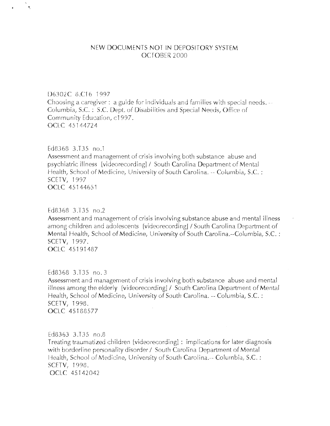## NEW DOCUMENTS NOT IN DEPOSITORY SYSTEM OCTOBER 2000

#### D6302C 8.C16 1997

Choosing a caregiver : a guide for individuals and families with special needs.  $-$ Columbia, S.C.: S.C. Dept. of Disabilities and Special Needs, Office of Community Education, c1997. OCLC 45144724

Ed8368 3.T35 no.1

Assessment and management of crisis involving both substance abuse and psychiatric illness [videorecording] / South Carolina Department of Mental Health, School of Medicine, University of South Carolina. - Columbia, S.C.: SCETV, 1997 OCLC 45144651

#### Ed8368 3.T35 no.2

Assessment and management of crisis involving substance abuse and mental illness among children and adolescents [videorecording] / South Carolina Department of Mental Health, School of Medicine, University of South Carolina.--Columbia, S.C.: SCETV, 1997. OCLC 45191487

#### Ed8368 3.T35 no.3

Assessment and management of crisis involving both substance abuse and mental illness among the elderly [videorecording] / South Carolina Department of Mental Health, School of Medicine, University of South Carolina. -- Columbia, S.C. : SCETV, 1998. OCLC 45188577

#### Ed8363 3.T35 no.8

Treating traumatized children [videorecording]: implications for later diagnosis with borderline personality disorder / South Carolina Department of Mental Health, School of Medicine, University of South Carolina.-- Columbia, S.C.: SCETV, 1998. OCLC 45142042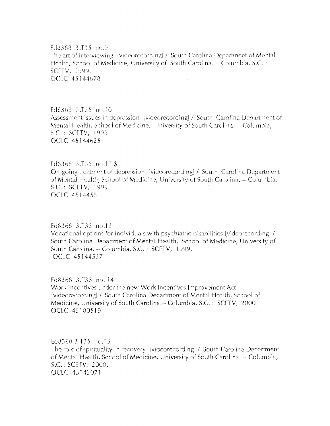Ed8368 3.T35 no.9 The art of interviewing [videorecording] / South Carolina Department of Mental Health, School of Medicine, University of South Carolina. - Columbia, S.C.: SCETV, 1999. OCLC 45144678

Ed8368 3.T35 no.10 Assessment issues in depression [videorecording] / South Carolina Department of Mental Health, School of Medicine, University of South Carolina. -- Columbia, S.C.: SCETV, 1999. OCLC 45144625

Ed8368 3.T35 no.11 \$ On-going treatment of depression [videorecording] / South Carolina Department of Mental Health, School of Medicine, University of South Carolina. -- Columbia, S.C.: SCETV, 1999. **OCLC** 45144551

Ed8368 3.T35 no.13 Vocational options for individuals with psychiatric disabilities [videorecording] / South Carolina Department of Mental Health, School of Medicine, University of South Carolina. -- Columbia, S.C.: SCETV, 1999. OCLC 45144537

Ed8368 3.T35 no. 14 Work incentives under the new Work Incentives Improvement Act [videorecording] / South Carolina Department of Mental Health, School of Medicine, University of South Carolina.-- Columbia, S.C.: SCETV, 2000. OCLC 45180519

Ed8368 3.T35 no.15 The role of spirituality in recovery [videorecording] / South Carolina Department of Mental Health, School of Medicine, University of South Carolina. -- Columbia,  $S.C. : SCETV, 2000.$ OCLC 45142071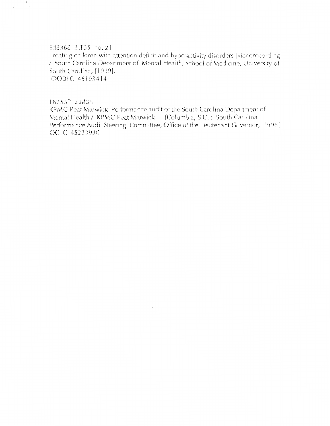#### Ed8368 3.T35 no.21

 $\tilde{\mathcal{L}}$ 

Treating children with attention deficit and hyperactivity disorders [videorecording] / South Carolina Department of Mental Health, School of Medicine, University of South Carolina, [1999]. OCOLC 45193414

L6255P 2.M35

KPMG Peat Marwick. Performance audit of the South Carolina Department of Mental Health / KPMG Peat Marwick. - [Columbia, S.C.: South Carolina Performance Audit Steering Committee, Office of the Lieutenant Governor, 1998] OCLC 45233930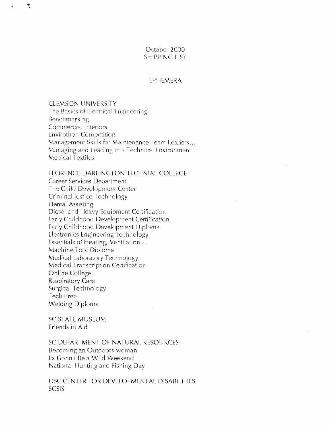## October 2000 **SHIPPING LIST**

#### EPHEMERA

**CLEMSON UNIVERSITY** The Basics of Electrical Engineering Benchmarking Commercial Interiors Envirothon Competition Management Skills for Maintenance Team Leaders... Managing and Leading in a Technical Environment Medical Textiles

**FLORENCE-DARLINGTON TECHNIAL COLLEGE** 

Career Services Department The Child Development Center Criminal Justice Technology Dental Assisting Diesel and Heavy Equipment Certification Early Childhood Development Certification Early Childhood Development Diploma Electronics Engineering Technology Essentials of Heating, Ventilation... Machine Tool Diploma Medical Laboratory Technology Medical Transcription Certification Online College **Respiratory Care** Surgical Technology Tech Prep **Welding Diploma** 

SC STATE MUSEUM Friends in Aid

SC DEPARTMENT OF NATURAL RESOURCES Becoming an Outdoors-woman Its Gonna Be a Wild Weekend National Hunting and Fishing Day

USC CENTER FOR DEVELOPMENTAL DISABILITIES **SCSIS**